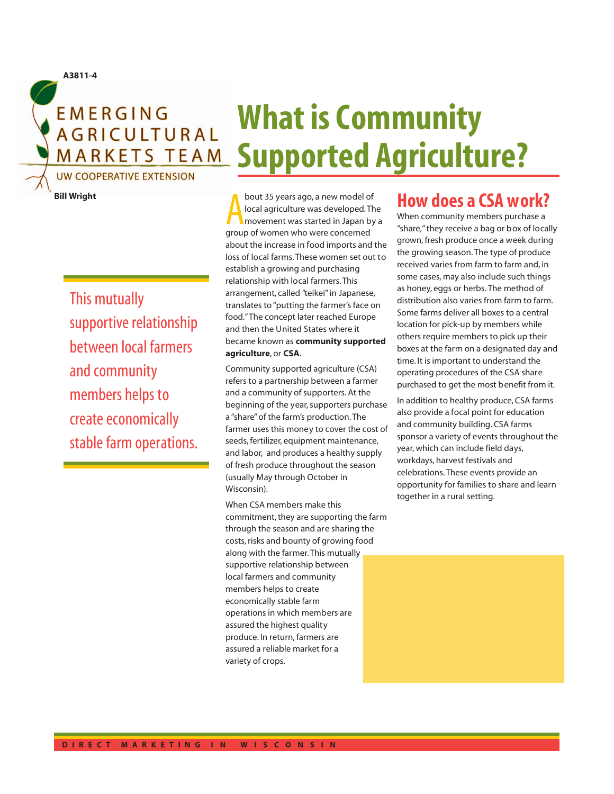**EMERGING AGRICULTURAL MARKETS TEAM** 

# **UW COOPERATIVE EXTENSION**

This mutually

and community

members helps to

create economically

stable farm operations.

supportive relationship

between local farmers

**Bill Wright**

**A3811-4**

# **What is Community Supported Agriculture?**

bout 35 years ago, a new model of local agriculture was developed. The movement was started in Japan by group of women who were concerned bout 35 years ago, a new model of local agriculture was developed. The movement was started in Japan by a about the increase in food imports and the loss of local farms. These women set out to establish a growing and purchasing relationship with local farmers. This arrangement, called "teikei" in Japanese, translates to "putting the farmer's face on food."The concept later reached Europe and then the United States where it became known as **community supported agriculture**, or **CSA**.

Community supported agriculture (CSA) refers to a partnership between a farmer and a community of supporters. At the beginning of the year, supporters purchase a "share" of the farm's production. The farmer uses this money to cover the cost of seeds, fertilizer, equipment maintenance, and labor, and produces a healthy supply of fresh produce throughout the season (usually May through October in Wisconsin).

When CSA members make this commitment, they are supporting the farm through the season and are sharing the costs, risks and bounty of growing food along with the farmer. This mutually supportive relationship between local farmers and community members helps to create economically stable farm operations in which members are assured the highest quality produce. In return, farmers are assured a reliable market for a variety of crops.

# **How does a CSA work?**

When community members purchase a "share," they receive a bag or box of locally grown, fresh produce once a week during the growing season. The type of produce received varies from farm to farm and, in some cases, may also include such things as honey, eggs or herbs. The method of distribution also varies from farm to farm. Some farms deliver all boxes to a central location for pick-up by members while others require members to pick up their boxes at the farm on a designated day and time. It is important to understand the operating procedures of the CSA share purchased to get the most benefit from it.

In addition to healthy produce, CSA farms also provide a focal point for education and community building. CSA farms sponsor a variety of events throughout the year, which can include field days, workdays, harvest festivals and celebrations. These events provide an opportunity for families to share and learn together in a rural setting.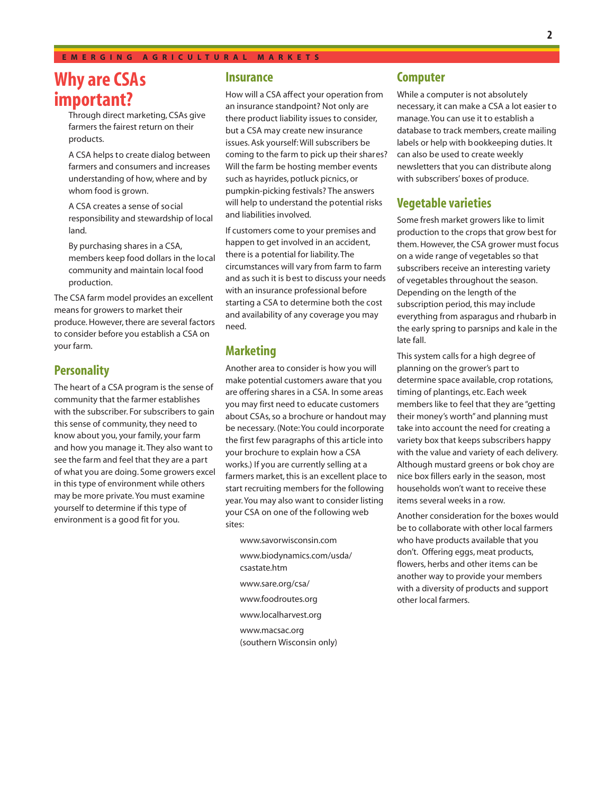#### **EMERGING AGRICULTURAL MARKETS**

## **Why are CSAs important?**

Through direct marketing, CSAs give farmers the fairest return on their products.

A CSA helps to create dialog between farmers and consumers and increases understanding of how, where and by whom food is grown.

A CSA creates a sense of social responsibility and stewardship of local land.

By purchasing shares in a CSA, members keep food dollars in the local community and maintain local food production.

The CSA farm model provides an excellent means for growers to market their produce. However, there are several factors to consider before you establish a CSA on your farm.

### **Personality**

The heart of a CSA program is the sense of community that the farmer establishes with the subscriber. For subscribers to gain this sense of community, they need to know about you, your family, your farm and how you manage it. They also want to see the farm and feel that they are a part of what you are doing. Some growers excel in this type of environment while others may be more private. You must examine yourself to determine if this type of environment is a good fit for you.

#### **Insurance**

How will a CSA affect your operation from an insurance standpoint? Not only are there product liability issues to consider, but a CSA may create new insurance issues. Ask yourself: Will subscribers be coming to the farm to pick up their shares? Will the farm be hosting member events such as hayrides, potluck picnics, or pumpkin-picking festivals? The answers will help to understand the potential risks and liabilities involved.

If customers come to your premises and happen to get involved in an accident, there is a potential for liability. The circumstances will vary from farm to farm and as such it is b est to discuss your needs with an insurance professional before starting a CSA to determine both the cost and availability of any coverage you may need.

#### **Marketing**

Another area to consider is how you will make potential customers aware that you are offering shares in a CSA. In some areas you may first need to educate customers about CSAs, so a brochure or handout may be necessary. (Note: You could incorporate the first few paragraphs of this article into your brochure to explain how a CSA works.) If you are currently selling at a farmers market, this is an excellent place to start recruiting members for the following year. You may also want to consider listing your CSA on one of the following web sites:

www.savorwisconsin.com www.biodynamics.com/usda/ csastate.htm www.sare.org/csa/ www.foodroutes.org www.localharvest.org www.macsac.org (southern Wisconsin only)

#### **Computer**

While a computer is not absolutely necessary, it can make a CSA a lot easier to manage. You can use it to establish a database to track members, create mailing labels or help with bookkeeping duties. It can also be used to create weekly newsletters that you can distribute along with subscribers' boxes of produce.

#### **Vegetable varieties**

Some fresh market growers like to limit production to the crops that grow best for them. However, the CSA grower must focus on a wide range of vegetables so that subscribers receive an interesting variety of vegetables throughout the season. Depending on the length of the subscription period, this may include everything from asparagus and rhubarb in the early spring to parsnips and kale in the late fall.

This system calls for a high degree of planning on the grower's part to determine space available, crop rotations, timing of plantings, etc. Each week members like to feel that they are "getting their money's worth" and planning must take into account the need for creating a variety box that keeps subscribers happy with the value and variety of each delivery. Although mustard greens or bok choy are nice box fillers early in the season, most households won't want to receive these items several weeks in a row.

Another consideration for the boxes would be to collaborate with other local farmers who have products available that you don't. Offering eggs, meat products, flowers, herbs and other items can be another way to provide your members with a diversity of products and support other local farmers.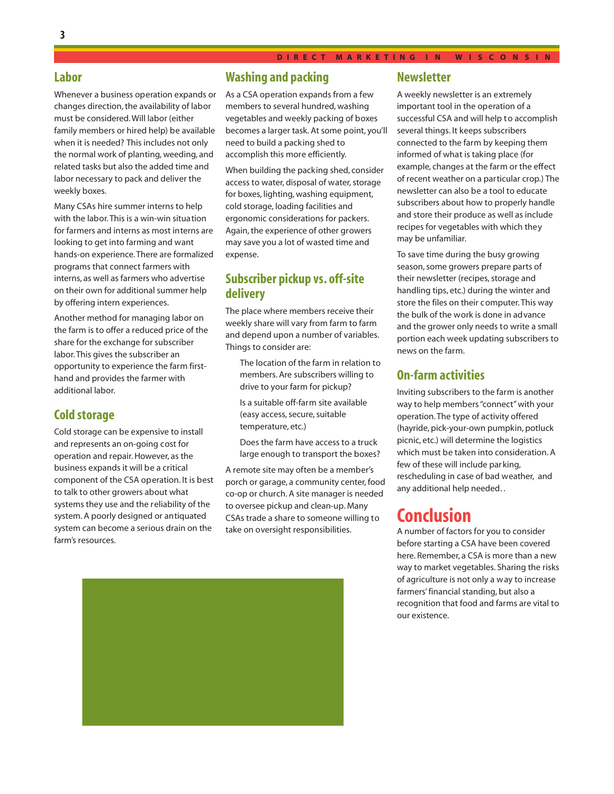#### **Labor**

Whenever a business operation expands or changes direction, the availability of labor must be considered. Will labor (either family members or hired help) be available when it is needed? This includes not only the normal work of planting, weeding, and related tasks but also the added time and labor necessary to pack and deliver the weekly boxes.

Many CSAs hire summer interns to help with the labor. This is a win-win situation for farmers and interns as most interns are looking to get into farming and want hands-on experience. There are formalized programs that connect farmers with interns, as well as farmers who advertise on their own for additional summer help by offering intern experiences.

Another method for managing labor on the farm is to offer a reduced price of the share for the exchange for subscriber labor. This gives the subscriber an opportunity to experience the farm firsthand and provides the farmer with additional labor.

#### **Cold storage**

Cold storage can be expensive to install and represents an on-going cost for operation and repair. However, as the business expands it will be a critical component of the CSA operation. It is best to talk to other growers about what systems they use and the reliability of the system. A poorly designed or antiquated system can become a serious drain on the farm's resources.

## **Washing and packing**

As a CSA operation expands from a few members to several hundred, washing vegetables and weekly packing of boxes becomes a larger task. At some point, you'll need to build a packing shed to accomplish this more efficiently.

When building the packing shed, consider access to water, disposal of water, storage for boxes, lighting, washing equipment, cold storage, loading facilities and ergonomic considerations for packers. Again, the experience of other growers may save you a lot of wasted time and expense.

## **Subscriber pickup vs. off-site delivery**

The place where members receive their weekly share will vary from farm to farm and depend upon a number of variables. Things to consider are:

The location of the farm in relation to members. Are subscribers willing to drive to your farm for pickup? Is a suitable off-farm site available

(easy access, secure, suitable temperature, etc.)

Does the farm have access to a truck large enough to transport the boxes?

A remote site may often be a member's porch or garage, a community center, food co-op or church. A site manager is needed to oversee pickup and clean-up. Many CSAs trade a share to someone willing to take on oversight responsibilities.



#### **Newsletter**

A weekly newsletter is an extremely important tool in the operation of a successful CSA and will help to accomplish several things. It keeps subscribers connected to the farm by keeping them informed of what is taking place (for example, changes at the farm or the effect of recent weather on a particular crop.) The newsletter can also be a tool to educate subscribers about how to properly handle and store their produce as well as include recipes for vegetables with which they may be unfamiliar.

To save time during the busy growing season, some growers prepare parts of their newsletter (recipes, storage and handling tips, etc.) during the winter and store the files on their computer. This way the bulk of the work is done in advance and the grower only needs to write a small portion each week updating subscribers to news on the farm.

#### **On-farm activities**

Inviting subscribers to the farm is another way to help members "connect" with your operation. The type of activity offered (hayride, pick-your-own pumpkin, potluck picnic, etc.) will determine the logistics which must be taken into consideration. A few of these will include par king, rescheduling in case of bad weather, and any additional help needed. .

## **Conclusion**

A number of factors for you to consider before starting a CSA have been covered here. Remember, a CSA is more than a new way to market vegetables. Sharing the risks of agriculture is not only a way to increase farmers' financial standing, but also a recognition that food and farms are vital to our existence.